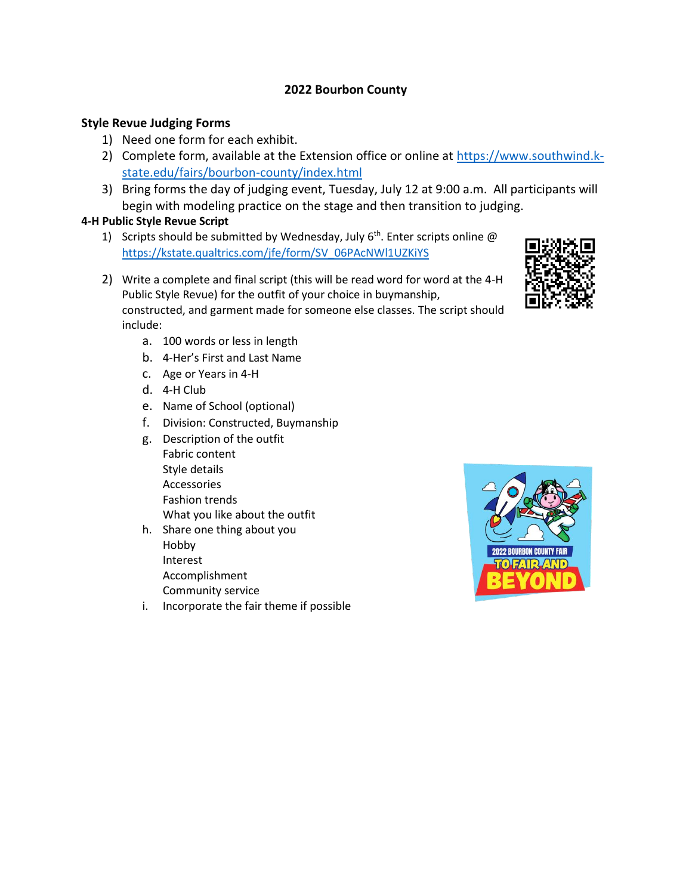## **2022 Bourbon County**

## **Style Revue Judging Forms**

- 1) Need one form for each exhibit.
- 2) Complete form, available at the Extension office or online at [https://www.southwind.k](https://www.southwind.k-state.edu/fairs/bourbon-county/index.html)[state.edu/fairs/bourbon-county/index.html](https://www.southwind.k-state.edu/fairs/bourbon-county/index.html)
- 3) Bring forms the day of judging event, Tuesday, July 12 at 9:00 a.m. All participants will begin with modeling practice on the stage and then transition to judging.

## **4-H Public Style Revue Script**

- 1) Scripts should be submitted by Wednesday, July  $6<sup>th</sup>$ . Enter scripts online  $@$ [https://kstate.qualtrics.com/jfe/form/SV\\_06PAcNWl1UZKiYS](https://kstate.qualtrics.com/jfe/form/SV_06PAcNWl1UZKiYS)
- 2) Write a complete and final script (this will be read word for word at the 4-H Public Style Revue) for the outfit of your choice in buymanship, constructed, and garment made for someone else classes. The script should include:
	- a. 100 words or less in length
	- b. 4-Her's First and Last Name
	- c. Age or Years in 4-H
	- d. 4-H Club
	- e. Name of School (optional)
	- f. Division: Constructed, Buymanship
	- g. Description of the outfit Fabric content Style details Accessories Fashion trends What you like about the outfit
	- h. Share one thing about you Hobby Interest Accomplishment Community service
	- i. Incorporate the fair theme if possible